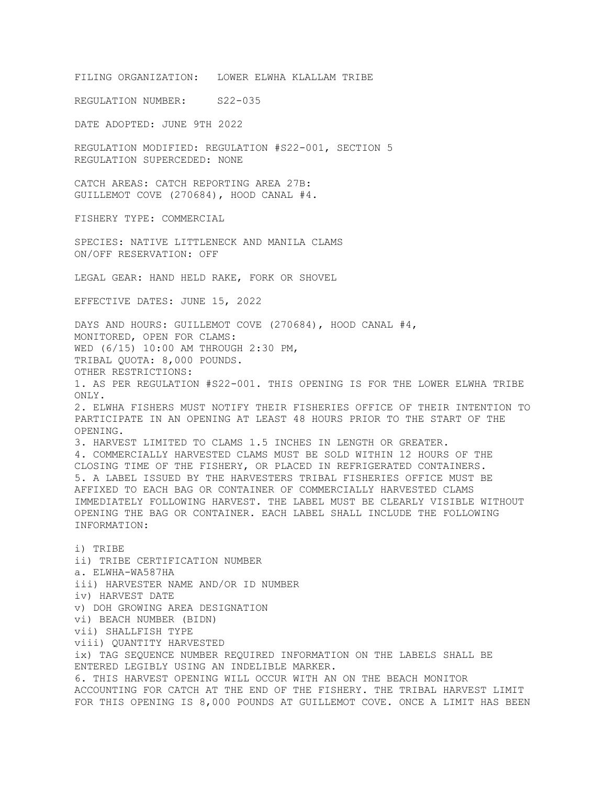FILING ORGANIZATION: LOWER ELWHA KLALLAM TRIBE

REGULATION NUMBER: S22-035

DATE ADOPTED: JUNE 9TH 2022

REGULATION MODIFIED: REGULATION #S22-001, SECTION 5 REGULATION SUPERCEDED: NONE

CATCH AREAS: CATCH REPORTING AREA 27B: GUILLEMOT COVE (270684), HOOD CANAL #4.

FISHERY TYPE: COMMERCIAL

SPECIES: NATIVE LITTLENECK AND MANILA CLAMS ON/OFF RESERVATION: OFF

LEGAL GEAR: HAND HELD RAKE, FORK OR SHOVEL

EFFECTIVE DATES: JUNE 15, 2022

DAYS AND HOURS: GUILLEMOT COVE (270684), HOOD CANAL #4, MONITORED, OPEN FOR CLAMS: WED (6/15) 10:00 AM THROUGH 2:30 PM, TRIBAL QUOTA: 8,000 POUNDS. OTHER RESTRICTIONS: 1. AS PER REGULATION #S22-001. THIS OPENING IS FOR THE LOWER ELWHA TRIBE ONLY. 2. ELWHA FISHERS MUST NOTIFY THEIR FISHERIES OFFICE OF THEIR INTENTION TO PARTICIPATE IN AN OPENING AT LEAST 48 HOURS PRIOR TO THE START OF THE OPENING. 3. HARVEST LIMITED TO CLAMS 1.5 INCHES IN LENGTH OR GREATER. 4. COMMERCIALLY HARVESTED CLAMS MUST BE SOLD WITHIN 12 HOURS OF THE CLOSING TIME OF THE FISHERY, OR PLACED IN REFRIGERATED CONTAINERS. 5. A LABEL ISSUED BY THE HARVESTERS TRIBAL FISHERIES OFFICE MUST BE AFFIXED TO EACH BAG OR CONTAINER OF COMMERCIALLY HARVESTED CLAMS IMMEDIATELY FOLLOWING HARVEST. THE LABEL MUST BE CLEARLY VISIBLE WITHOUT OPENING THE BAG OR CONTAINER. EACH LABEL SHALL INCLUDE THE FOLLOWING INFORMATION: i) TRIBE

ii) TRIBE CERTIFICATION NUMBER a. ELWHA-WA587HA iii) HARVESTER NAME AND/OR ID NUMBER iv) HARVEST DATE v) DOH GROWING AREA DESIGNATION vi) BEACH NUMBER (BIDN) vii) SHALLFISH TYPE viii) QUANTITY HARVESTED ix) TAG SEQUENCE NUMBER REQUIRED INFORMATION ON THE LABELS SHALL BE ENTERED LEGIBLY USING AN INDELIBLE MARKER. 6. THIS HARVEST OPENING WILL OCCUR WITH AN ON THE BEACH MONITOR ACCOUNTING FOR CATCH AT THE END OF THE FISHERY. THE TRIBAL HARVEST LIMIT FOR THIS OPENING IS 8,000 POUNDS AT GUILLEMOT COVE. ONCE A LIMIT HAS BEEN